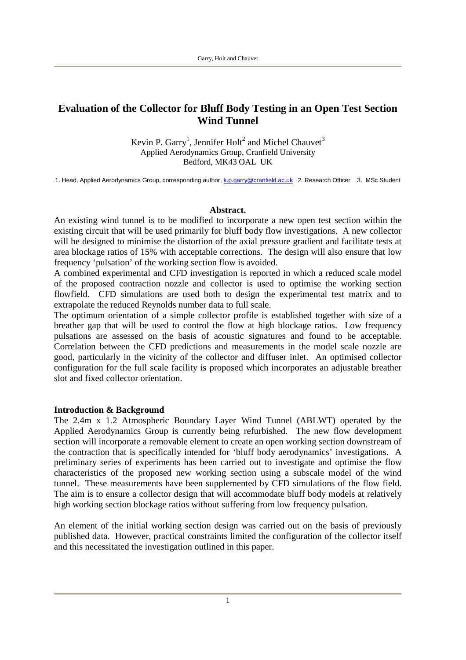# **Evaluation of the Collector for Bluff Body Testing in an Open Test Section Wind Tunnel**

Kevin P. Garry<sup>1</sup>, Jennifer Holt<sup>2</sup> and Michel Chauvet<sup>3</sup> Applied Aerodynamics Group, Cranfield University Bedford, MK43 OAL UK

1. Head, Applied Aerodynamics Group, corresponding author, k.p.garry@cranfield.ac.uk 2. Research Officer 3. MSc Student

#### **Abstract.**

An existing wind tunnel is to be modified to incorporate a new open test section within the existing circuit that will be used primarily for bluff body flow investigations. A new collector will be designed to minimise the distortion of the axial pressure gradient and facilitate tests at area blockage ratios of 15% with acceptable corrections. The design will also ensure that low frequency 'pulsation' of the working section flow is avoided.

A combined experimental and CFD investigation is reported in which a reduced scale model of the proposed contraction nozzle and collector is used to optimise the working section flowfield. CFD simulations are used both to design the experimental test matrix and to extrapolate the reduced Reynolds number data to full scale.

The optimum orientation of a simple collector profile is established together with size of a breather gap that will be used to control the flow at high blockage ratios. Low frequency pulsations are assessed on the basis of acoustic signatures and found to be acceptable. Correlation between the CFD predictions and measurements in the model scale nozzle are good, particularly in the vicinity of the collector and diffuser inlet. An optimised collector configuration for the full scale facility is proposed which incorporates an adjustable breather slot and fixed collector orientation.

### **Introduction & Background**

The 2.4m x 1.2 Atmospheric Boundary Layer Wind Tunnel (ABLWT) operated by the Applied Aerodynamics Group is currently being refurbished. The new flow development section will incorporate a removable element to create an open working section downstream of the contraction that is specifically intended for 'bluff body aerodynamics' investigations. A preliminary series of experiments has been carried out to investigate and optimise the flow characteristics of the proposed new working section using a subscale model of the wind tunnel. These measurements have been supplemented by CFD simulations of the flow field. The aim is to ensure a collector design that will accommodate bluff body models at relatively high working section blockage ratios without suffering from low frequency pulsation.

An element of the initial working section design was carried out on the basis of previously published data. However, practical constraints limited the configuration of the collector itself and this necessitated the investigation outlined in this paper.

1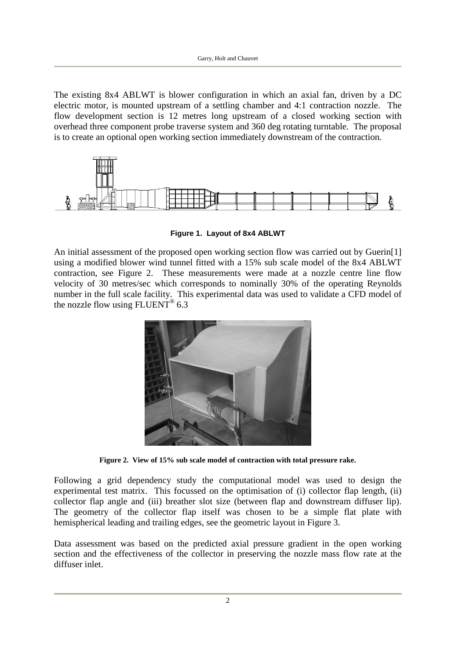The existing 8x4 ABLWT is blower configuration in which an axial fan, driven by a DC electric motor, is mounted upstream of a settling chamber and 4:1 contraction nozzle. The flow development section is 12 metres long upstream of a closed working section with overhead three component probe traverse system and 360 deg rotating turntable. The proposal is to create an optional open working section immediately downstream of the contraction.



**Figure 1. Layout of 8x4 ABLWT**

An initial assessment of the proposed open working section flow was carried out by Guerin[1] using a modified blower wind tunnel fitted with a 15% sub scale model of the 8x4 ABLWT contraction, see Figure 2. These measurements were made at a nozzle centre line flow velocity of 30 metres/sec which corresponds to nominally 30% of the operating Reynolds number in the full scale facility. This experimental data was used to validate a CFD model of the nozzle flow using FLUENT<sup>®</sup> 6.3



**Figure 2. View of 15% sub scale model of contraction with total pressure rake.**

Following a grid dependency study the computational model was used to design the experimental test matrix. This focussed on the optimisation of (i) collector flap length, (ii) collector flap angle and (iii) breather slot size (between flap and downstream diffuser lip). The geometry of the collector flap itself was chosen to be a simple flat plate with hemispherical leading and trailing edges, see the geometric layout in Figure 3.

Data assessment was based on the predicted axial pressure gradient in the open working section and the effectiveness of the collector in preserving the nozzle mass flow rate at the diffuser inlet.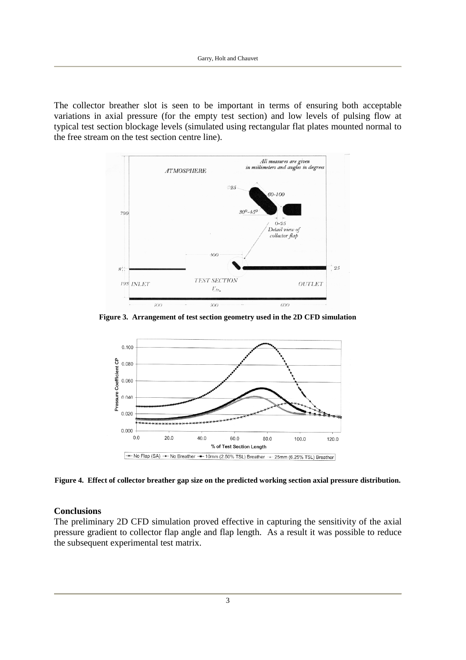The collector breather slot is seen to be important in terms of ensuring both acceptable variations in axial pressure (for the empty test section) and low levels of pulsing flow at typical test section blockage levels (simulated using rectangular flat plates mounted normal to the free stream on the test section centre line).



**Figure 3. Arrangement of test section geometry used in the 2D CFD simulation**



**Figure 4. Effect of collector breather gap size on the predicted working section axial pressure distribution.**

## **Conclusions**

The preliminary 2D CFD simulation proved effective in capturing the sensitivity of the axial pressure gradient to collector flap angle and flap length. As a result it was possible to reduce the subsequent experimental test matrix.